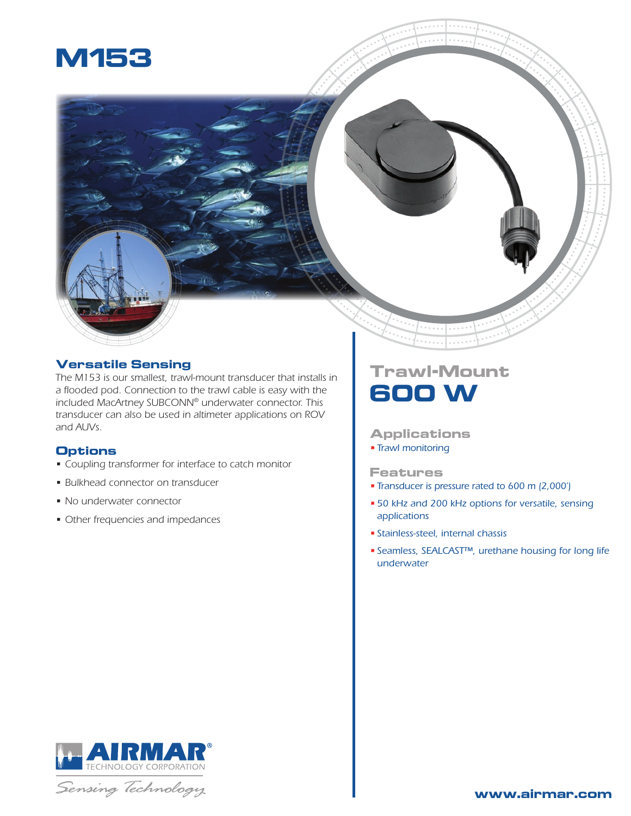

## **Versatile Sensing**

*The M153 is our smallest, trawl-mount transducer that installs in a flooded pod. Connection to the trawl cable is easy with the included MacArtney SUBCONN® underwater connector. This transducer can also be used in altimeter applications on ROV and AUVs.*

### **Options**

- *• Coupling transformer for interface to catch monitor*
- *• Bulkhead connector on transducer*
- *• No underwater connector*
- *• Other frequencies and impedances*

# **Trawl-Mount 600 W**

### **Applications**

*• Trawl monitoring*

#### **Features**

- *• Transducer is pressure rated to 600 m (2,000')*
- *• 50 kHz and 200 kHz options for versatile, sensing applications*
- *• Stainless-steel, internal chassis*
- *• Seamless, SEALCAST™, urethane housing for long life underwater*



Sensing Technology